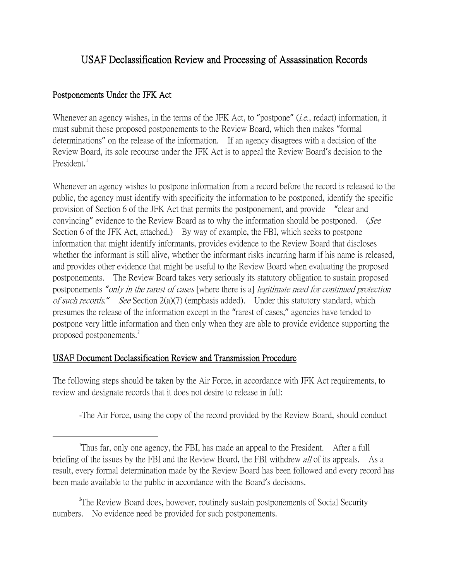## USAF Declassification Review and Processing of Assassination Records

## Postponements Under the JFK Act

Whenever an agency wishes, in the terms of the JFK Act, to "postpone" *(i.e.*, redact) information, it must submit those proposed postponements to the Review Board, which then makes "formal determinations" on the release of the information. If an agency disagrees with a decision of the Review Board, its sole recourse under the JFK Act is to appeal the Review Board's decision to the President.

Whenever an agency wishes to postpone information from a record before the record is released to the public, the agency must identify with specificity the information to be postponed, identify the specific provision of Section 6 of the JFK Act that permits the postponement, and provide "clear and convincing" evidence to the Review Board as to why the information should be postponed. (See Section 6 of the JFK Act, attached.) By way of example, the FBI, which seeks to postpone information that might identify informants, provides evidence to the Review Board that discloses whether the informant is still alive, whether the informant risks incurring harm if his name is released, and provides other evidence that might be useful to the Review Board when evaluating the proposed postponements. The Review Board takes very seriously its statutory obligation to sustain proposed postponements *"*only in the rarest of cases [where there is a] legitimate need for continued protection of such records.*"* See Section 2(a)(7) (emphasis added). Under this statutory standard, which presumes the release of the information except in the "rarest of cases," agencies have tended to postpone very little information and then only when they are able to provide evidence supporting the proposed postponements.<sup>[2](#page-0-1)</sup>

## USAF Document Declassification Review and Transmission Procedure

The following steps should be taken by the Air Force, in accordance with JFK Act requirements, to review and designate records that it does not desire to release in full:

-The Air Force, using the copy of the record provided by the Review Board, should conduct

<span id="page-0-1"></span><sup>2</sup>The Review Board does, however, routinely sustain postponements of Social Security numbers. No evidence need be provided for such postponements.

<span id="page-0-0"></span> $\overline{\phantom{a}}$ <sup>1</sup>Thus far, only one agency, the FBI, has made an appeal to the President. After a full briefing of the issues by the FBI and the Review Board, the FBI withdrew *all* of its appeals. As a result, every formal determination made by the Review Board has been followed and every record has been made available to the public in accordance with the Board's decisions.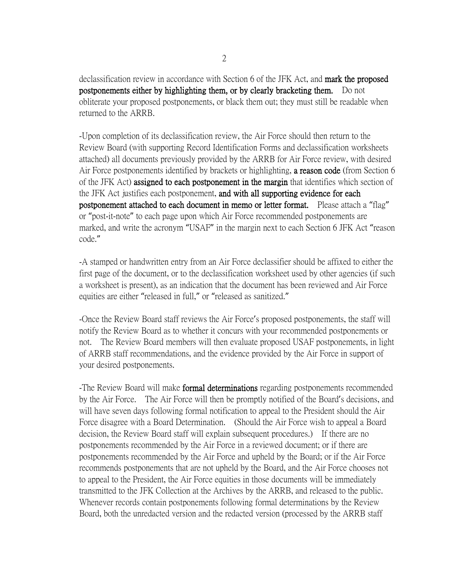declassification review in accordance with Section 6 of the JFK Act, and **mark the proposed** postponements either by highlighting them, or by clearly bracketing them. Do not obliterate your proposed postponements, or black them out; they must still be readable when returned to the ARRB.

-Upon completion of its declassification review, the Air Force should then return to the Review Board (with supporting Record Identification Forms and declassification worksheets attached) all documents previously provided by the ARRB for Air Force review, with desired Air Force postponements identified by brackets or highlighting, a reason code (from Section 6 of the JFK Act) assigned to each postponement in the margin that identifies which section of the JFK Act justifies each postponement, and with all supporting evidence for each postponement attached to each document in memo or letter format. Please attach a "flag" or "post-it-note" to each page upon which Air Force recommended postponements are marked, and write the acronym "USAF" in the margin next to each Section 6 JFK Act "reason code."

-A stamped or handwritten entry from an Air Force declassifier should be affixed to either the first page of the document, or to the declassification worksheet used by other agencies (if such a worksheet is present), as an indication that the document has been reviewed and Air Force equities are either "released in full," or "released as sanitized."

-Once the Review Board staff reviews the Air Force's proposed postponements, the staff will notify the Review Board as to whether it concurs with your recommended postponements or not. The Review Board members will then evaluate proposed USAF postponements, in light of ARRB staff recommendations, and the evidence provided by the Air Force in support of your desired postponements.

-The Review Board will make formal determinations regarding postponements recommended by the Air Force. The Air Force will then be promptly notified of the Board's decisions, and will have seven days following formal notification to appeal to the President should the Air Force disagree with a Board Determination. (Should the Air Force wish to appeal a Board decision, the Review Board staff will explain subsequent procedures.) If there are no postponements recommended by the Air Force in a reviewed document; or if there are postponements recommended by the Air Force and upheld by the Board; or if the Air Force recommends postponements that are not upheld by the Board, and the Air Force chooses not to appeal to the President, the Air Force equities in those documents will be immediately transmitted to the JFK Collection at the Archives by the ARRB, and released to the public. Whenever records contain postponements following formal determinations by the Review Board, both the unredacted version and the redacted version (processed by the ARRB staff